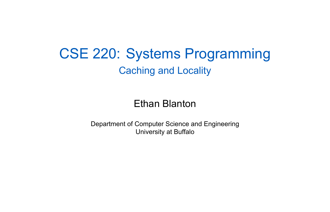CSE 220: Systems Programming Caching and Locality

Ethan Blanton

Department of Computer Science and Engineering University at Buffalo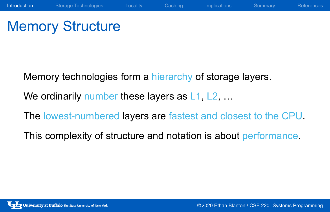## Memory Structure

Memory technologies form a hierarchy of storage layers.

We ordinarily number these layers as L1, L2, ...

The lowest-numbered layers are fastest and closest to the CPU.

This complexity of structure and notation is about performance.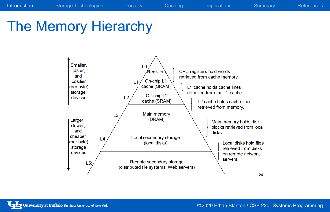# The Memory Hierarchy

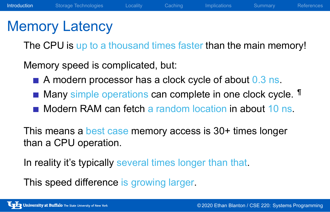### Memory Latency

The CPU is up to a thousand times faster than the main memory!

Memory speed is complicated, but:

- A modern processor has a clock cycle of about 0.3 ns.
- Many simple operations can complete in one clock cycle. <sup>¶</sup>
- Modern RAM can fetch a random location in about 10 ns.

This means a best case memory access is 30+ times longer than a CPU operation.

In reality it's typically several times longer than that.

This speed difference is growing larger.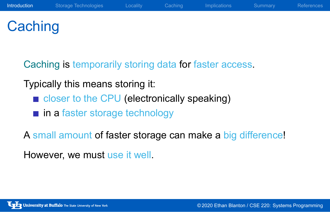## **Caching**

Caching is temporarily storing data for faster access.

### Typically this means storing it:

- closer to the CPU (electronically speaking)
- **n** in a faster storage technology

A small amount of faster storage can make a big difference!

However, we must use it well.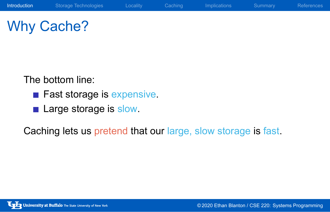# Why Cache?

The bottom line:

- Fast storage is expensive.
- **Large storage is slow.**

Caching lets us pretend that our large, slow storage is fast.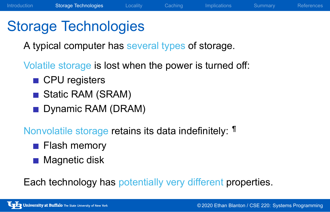### Storage Technologies

A typical computer has several types of storage.

Volatile storage is lost when the power is turned off:

- CPU registers
- Static RAM (SRAM)
- Dynamic RAM (DRAM)

### Nonvolatile storage retains its data indefinitely: ¶

- **Flash memory**
- **Magnetic disk**

Each technology has potentially very different properties.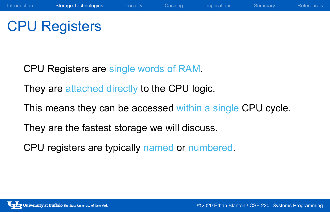## CPU Registers

CPU Registers are single words of RAM.

They are attached directly to the CPU logic.

This means they can be accessed within a single CPU cycle.

They are the fastest storage we will discuss.

CPU registers are typically named or numbered.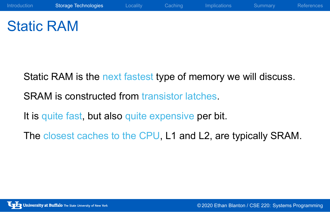## Static RAM

Static RAM is the next fastest type of memory we will discuss.

SRAM is constructed from transistor latches.

It is quite fast, but also quite expensive per bit.

The closest caches to the CPU, L1 and L2, are typically SRAM.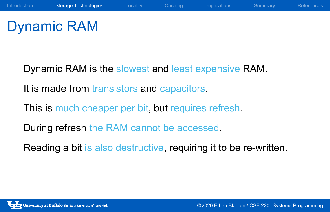## Dynamic RAM

Dynamic RAM is the slowest and least expensive RAM.

It is made from transistors and capacitors.

This is much cheaper per bit, but requires refresh.

During refresh the RAM cannot be accessed.

Reading a bit is also destructive, requiring it to be re-written.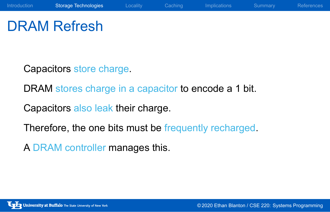## DRAM Refresh

Capacitors store charge.

DRAM stores charge in a capacitor to encode a 1 bit.

Capacitors also leak their charge.

Therefore, the one bits must be frequently recharged.

A DRAM controller manages this.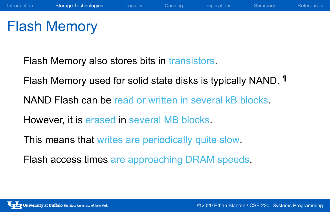### Flash Memory

Flash Memory also stores bits in transistors. Flash Memory used for solid state disks is typically NAND. ¶ NAND Flash can be read or written in several kB blocks. However, it is erased in several MB blocks. This means that writes are periodically quite slow. Flash access times are approaching DRAM speeds.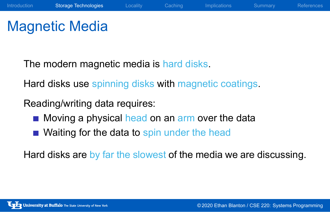### Magnetic Media

The modern magnetic media is hard disks.

Hard disks use spinning disks with magnetic coatings.

Reading/writing data requires:

- Moving a physical head on an arm over the data
- Waiting for the data to spin under the head

Hard disks are by far the slowest of the media we are discussing.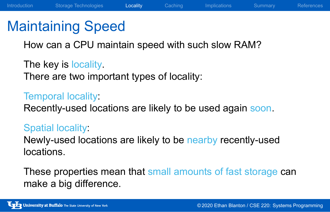### Maintaining Speed

How can a CPU maintain speed with such slow RAM?

The key is locality. There are two important types of locality:

### Temporal locality:

Recently-used locations are likely to be used again soon.

### Spatial locality:

Newly-used locations are likely to be nearby recently-used locations.

These properties mean that small amounts of fast storage can make a big difference.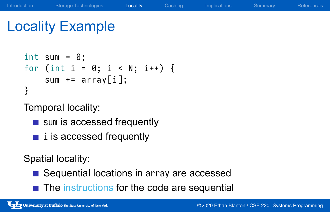### Locality Example

```
int sum = 0;
for (int i = 0; i < N; i++) {
    sum += array[i];}
```
Temporal locality:

- sum is accessed frequently
- $\blacksquare$  i is accessed frequently

Spatial locality:

- Sequential locations in array are accessed
- $\blacksquare$  The instructions for the code are sequential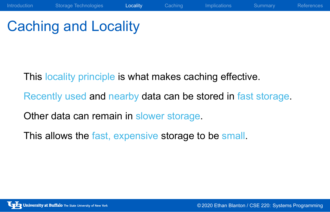## Caching and Locality

This locality principle is what makes caching effective.

Recently used and nearby data can be stored in fast storage.

Other data can remain in slower storage.

This allows the fast, expensive storage to be small.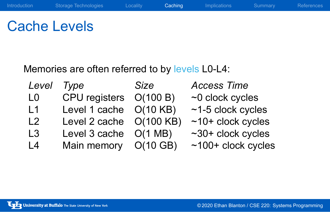# Cache Levels

Memories are often referred to by levels L0-L4:

| Level          | Type                    | <b>Size</b>       | <b>Access Time</b>      |
|----------------|-------------------------|-------------------|-------------------------|
| L <sub>0</sub> | CPU registers O(100 B)  |                   | $~1$ clock cycles       |
| $\mathsf{L}$ 1 | Level 1 cache O(10 KB)  |                   | $~1$ -5 clock cycles    |
| L <sub>2</sub> | Level 2 cache O(100 KB) |                   | $~10+$ clock cycles     |
| L <sub>3</sub> | Level 3 cache           | $O(1 \text{ MB})$ | $\sim$ 30+ clock cycles |
| L <sub>4</sub> | Main memory O(10 GB)    |                   | $~100+$ clock cycles    |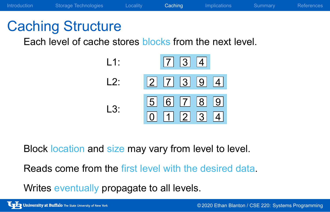## Caching Structure

Each level of cache stores blocks from the next level.

| L1:  | $\begin{array}{ c c c c c } \hline 7 & 3 & 4 \end{array}$ |
|------|-----------------------------------------------------------|
| l 2. |                                                           |
| l 3. | 56789                                                     |

Block location and size may vary from level to level.

Reads come from the first level with the desired data.

Writes eventually propagate to all levels.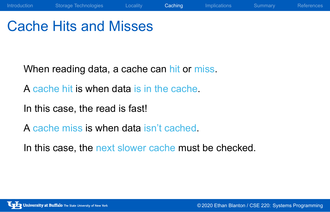## Cache Hits and Misses

When reading data, a cache can hit or miss.

A cache hit is when data is in the cache.

In this case, the read is fast!

A cache miss is when data isn't cached.

In this case, the next slower cache must be checked.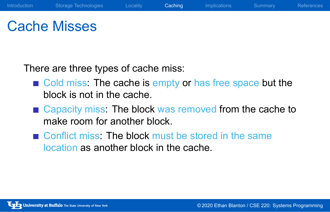### Cache Misses

There are three types of cache miss:

- Cold miss: The cache is empty or has free space but the block is not in the cache.
- Capacity miss: The block was removed from the cache to make room for another block.
- Conflict miss: The block must be stored in the same location as another block in the cache.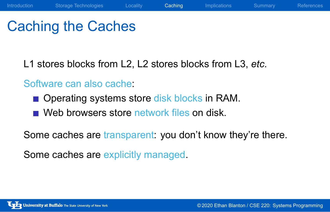### Caching the Caches

L1 stores blocks from L2, L2 stores blocks from L3, *etc.*

### Software can also cache:

- **Operating systems store disk blocks in RAM.**
- Web browsers store network files on disk.

Some caches are transparent: you don't know they're there.

Some caches are explicitly managed.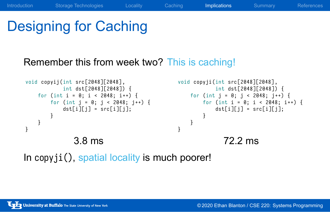## Designing for Caching

Remember this from week two? This is caching!

```
void copyij (int src[2048][2048],
             int dst [2048][2048]) {
    for (int i = \theta; i < 2048; i++) {
         for (int j = 0; j < 2048; j++) {
             \det[i][j] = src[i][j];
        }
    }
}
                3.8 ms
                                                   void copyji (int src[2048][2048],
                                                               int dst [2048][2048]) {
                                                       for (int j = 0; j < 2048; j++) {
                                                           for (int i = \theta; i < 2048; i++) {
                                                               \det[i][j] = src[i][j];
                                                          }
                                                     }
                                                  }
                                                                 72.2 ms
```
In copyji(), spatial locality is much poorer!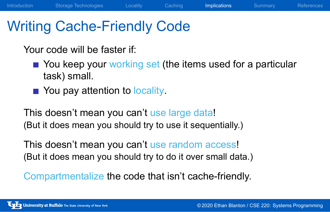### Writing Cache-Friendly Code

Your code will be faster if:

- You keep your working set (the items used for a particular task) small.
- You pay attention to locality.

This doesn't mean you can't use large data! (But it does mean you should try to use it sequentially.)

This doesn't mean you can't use random access! (But it does mean you should try to do it over small data.)

Compartmentalize the code that isn't cache-friendly.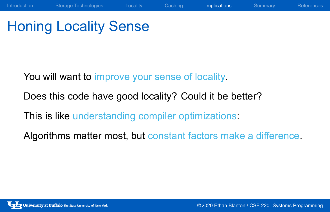## Honing Locality Sense

You will want to improve your sense of locality.

Does this code have good locality? Could it be better?

This is like understanding compiler optimizations:

Algorithms matter most, but constant factors make a difference.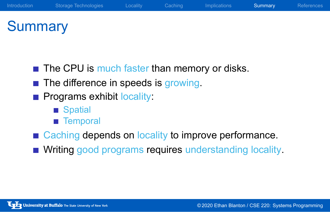### **Summary**

- $\blacksquare$  The CPU is much faster than memory or disks.
- The difference in speeds is growing.
- **Programs exhibit locality:** 
	- Spatial
	- **Temporal**
- Caching depends on locality to improve performance.
- **Nriting good programs requires understanding locality.**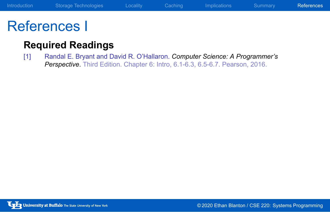### References I

### **Required Readings**

[1] Randal E. Bryant and David R. O'Hallaron. *Computer Science: A Programmer's Perspective*. Third Edition. Chapter 6: Intro, 6.1-6.3, 6.5-6.7. Pearson, 2016.